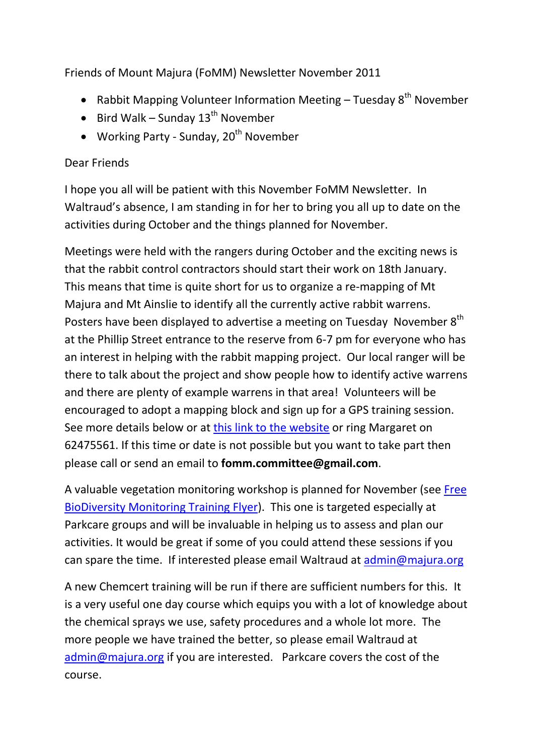Friends of Mount Majura (FoMM) Newsletter November 2011

- Rabbit Mapping Volunteer Information Meeting  $-$  Tuesday  $8^{th}$  November
- $\bullet$  Bird Walk Sunday 13<sup>th</sup> November
- Working Party Sunday,  $20<sup>th</sup>$  November

## Dear Friends

I hope you all will be patient with this November FoMM Newsletter. In Waltraud's absence, I am standing in for her to bring you all up to date on the activities during October and the things planned for November.

Meetings were held with the rangers during October and the exciting news is that the rabbit control contractors should start their work on 18th January. This means that time is quite short for us to organize a re-mapping of Mt Majura and Mt Ainslie to identify all the currently active rabbit warrens. Posters have been displayed to advertise a meeting on Tuesday November 8<sup>th</sup> at the Phillip Street entrance to the reserve from 6-7 pm for everyone who has an interest in helping with the rabbit mapping project. Our local ranger will be there to talk about the project and show people how to identify active warrens and there are plenty of example warrens in that area! Volunteers will be encouraged to adopt a mapping block and sign up for a GPS training session. See more details below or at [this link to the website](http://majura.org/2011/10/28/learn-about-rabbit-mapping-08-11-11/) or ring Margaret on 62475561. If this time or date is not possible but you want to take part then please call or send an email to **fomm.committee@gmail.com**.

A valuable vegetation monitoring workshop is planned for November (see [Free](http://majura.org/wp-content/uploads/2011/10/2011monitoringworkshopsflyer_Final.pdf)  BioDiversity Monitoring [Training Flyer\)](http://majura.org/wp-content/uploads/2011/10/2011monitoringworkshopsflyer_Final.pdf). This one is targeted especially at Parkcare groups and will be invaluable in helping us to assess and plan our activities. It would be great if some of you could attend these sessions if you can spare the time. If interested please email Waltraud at [admin@majura.org](mailto:admin@majura.org)

A new Chemcert training will be run if there are sufficient numbers for this. It is a very useful one day course which equips you with a lot of knowledge about the chemical sprays we use, safety procedures and a whole lot more. The more people we have trained the better, so please email Waltraud at [admin@majura.org](mailto:admin@majura.org) if you are interested. Parkcare covers the cost of the course.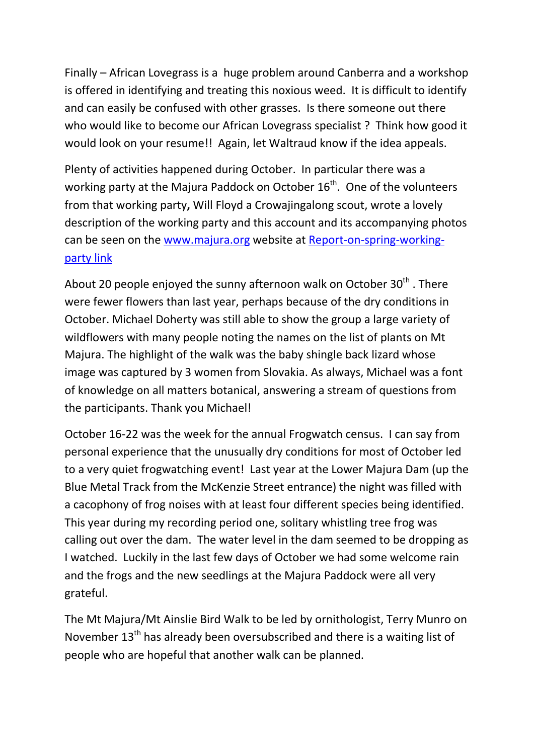Finally – African Lovegrass is a huge problem around Canberra and a workshop is offered in identifying and treating this noxious weed. It is difficult to identify and can easily be confused with other grasses. Is there someone out there who would like to become our African Lovegrass specialist ? Think how good it would look on your resume!! Again, let Waltraud know if the idea appeals.

Plenty of activities happened during October. In particular there was a working party at the Majura Paddock on October  $16<sup>th</sup>$ . One of the volunteers from that working party**,** Will Floyd a Crowajingalong scout, wrote a lovely description of the working party and this account and its accompanying photos can be seen on the [www.majura.org](http://www.majura.org/) website at [Report-on-spring-working](http://majura.org/2011/10/28/16102011-report-on-spring-working-party/)[party link](http://majura.org/2011/10/28/16102011-report-on-spring-working-party/)

About 20 people enjoyed the sunny afternoon walk on October  $30<sup>th</sup>$ . There were fewer flowers than last year, perhaps because of the dry conditions in October. Michael Doherty was still able to show the group a large variety of wildflowers with many people noting the names on the list of plants on Mt Majura. The highlight of the walk was the baby shingle back lizard whose image was captured by 3 women from Slovakia. As always, Michael was a font of knowledge on all matters botanical, answering a stream of questions from the participants. Thank you Michael!

October 16-22 was the week for the annual Frogwatch census. I can say from personal experience that the unusually dry conditions for most of October led to a very quiet frogwatching event! Last year at the Lower Majura Dam (up the Blue Metal Track from the McKenzie Street entrance) the night was filled with a cacophony of frog noises with at least four different species being identified. This year during my recording period one, solitary whistling tree frog was calling out over the dam. The water level in the dam seemed to be dropping as I watched. Luckily in the last few days of October we had some welcome rain and the frogs and the new seedlings at the Majura Paddock were all very grateful.

The Mt Majura/Mt Ainslie Bird Walk to be led by ornithologist, Terry Munro on November 13<sup>th</sup> has already been oversubscribed and there is a waiting list of people who are hopeful that another walk can be planned.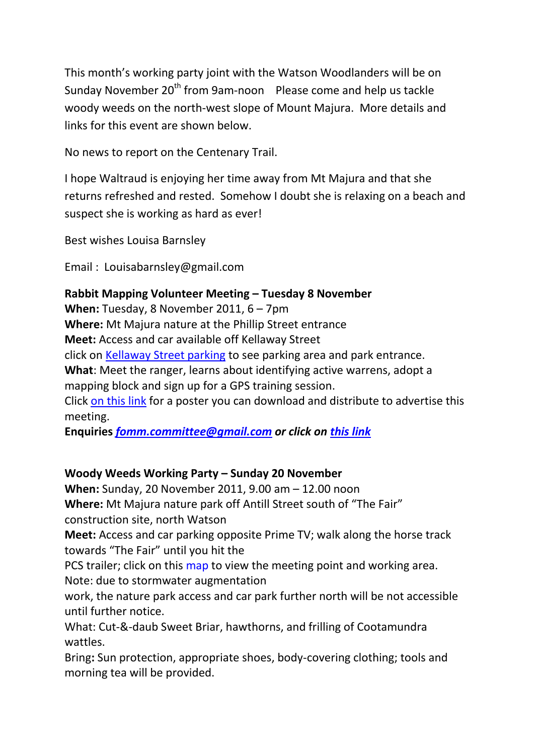This month's working party joint with the Watson Woodlanders will be on Sunday November 20<sup>th</sup> from 9am-noon Please come and help us tackle woody weeds on the north-west slope of Mount Majura. More details and links for this event are shown below.

No news to report on the Centenary Trail.

I hope Waltraud is enjoying her time away from Mt Majura and that she returns refreshed and rested. Somehow I doubt she is relaxing on a beach and suspect she is working as hard as ever!

Best wishes Louisa Barnsley

Email : Louisabarnsley@gmail.com

## **Rabbit Mapping Volunteer Meeting – Tuesday 8 November**

**When:** Tuesday, 8 November 2011, 6 – 7pm

**Where:** Mt Majura nature at the Phillip Street entrance

**Meet:** Access and car available off Kellaway Street

click on [Kellaway Street parking](http://www.flickr.com/photos/61627737@N03/6186937437/in/pool-1785320@N21/) to see parking area and park entrance.

**What**: Meet the ranger, learns about identifying active warrens, adopt a

mapping block and sign up for a GPS training session.

Click [on this link](http://majura.org/wp-content/uploads/2011/10/RabbitsPostermod.pdf) for a poster you can download and distribute to advertise this meeting.

**Enquiries** *[fomm.committee@gmail.com](mailto:fomm.committee@gmail.com) or click on [this link](http://majura.org/?p=4169)*

## **Woody Weeds Working Party – Sunday 20 November**

**When:** Sunday, 20 November 2011, 9.00 am – 12.00 noon **Where:** Mt Majura nature park off Antill Street south of "The Fair" construction site, north Watson

**Meet:** Access and car parking opposite Prime TV; walk along the horse track towards "The Fair" until you hit the

PCS trailer; click on this map to view the meeting point and working area. Note: due to stormwater augmentation

work, the nature park access and car park further north will be not accessible until further notice.

What: Cut-&-daub Sweet Briar, hawthorns, and frilling of Cootamundra wattles.

Bring**:** Sun protection, appropriate shoes, body-covering clothing; tools and morning tea will be provided.